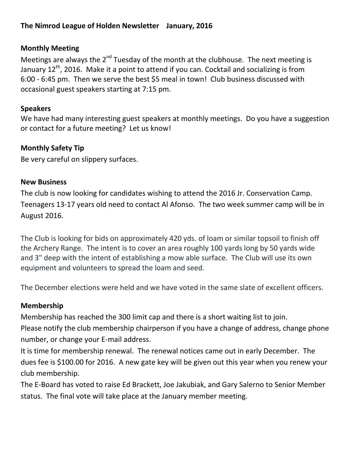#### **The Nimrod League of Holden Newsletter January, 2016**

#### **Monthly Meeting**

Meetings are always the 2<sup>nd</sup> Tuesday of the month at the clubhouse. The next meeting is January  $12^{th}$ , 2016. Make it a point to attend if you can. Cocktail and socializing is from 6:00 - 6:45 pm. Then we serve the best \$5 meal in town! Club business discussed with occasional guest speakers starting at 7:15 pm.

#### **Speakers**

We have had many interesting guest speakers at monthly meetings. Do you have a suggestion or contact for a future meeting? Let us know!

#### **Monthly Safety Tip**

Be very careful on slippery surfaces.

#### **New Business**

The club is now looking for candidates wishing to attend the 2016 Jr. Conservation Camp. Teenagers 13-17 years old need to contact Al Afonso. The two week summer camp will be in August 2016.

The Club is looking for bids on approximately 420 yds. of loam or similar topsoil to finish off the Archery Range. The intent is to cover an area roughly 100 yards long by 50 yards wide and 3" deep with the intent of establishing a mow able surface. The Club will use its own equipment and volunteers to spread the loam and seed.

The December elections were held and we have voted in the same slate of excellent officers.

#### **Membership**

Membership has reached the 300 limit cap and there is a short waiting list to join.

Please notify the club membership chairperson if you have a change of address, change phone number, or change your E-mail address.

It is time for membership renewal. The renewal notices came out in early December. The dues fee is \$100.00 for 2016. A new gate key will be given out this year when you renew your club membership.

The E-Board has voted to raise Ed Brackett, Joe Jakubiak, and Gary Salerno to Senior Member status. The final vote will take place at the January member meeting.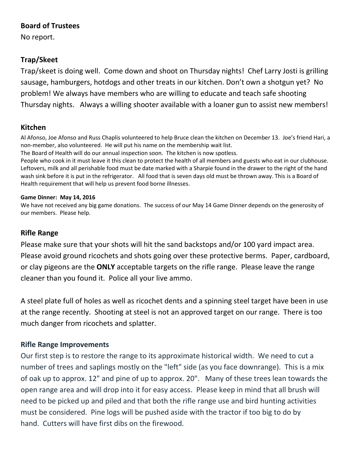## **Board of Trustees**

No report.

# **Trap/Skeet**

Trap/skeet is doing well. Come down and shoot on Thursday nights! Chef Larry Josti is grilling sausage, hamburgers, hotdogs and other treats in our kitchen. Don't own a shotgun yet? No problem! We always have members who are willing to educate and teach safe shooting Thursday nights. Always a willing shooter available with a loaner gun to assist new members!

# **Kitchen**

Al Afonso, Joe Afonso and Russ Chaplis volunteered to help Bruce clean the kitchen on December 13. Joe's friend Hari, a non-member, also volunteered. He will put his name on the membership wait list.

The Board of Health will do our annual inspection soon. The kitchen is now spotless.

People who cook in it must leave it this clean to protect the health of all members and guests who eat in our clubhouse. Leftovers, milk and all perishable food must be date marked with a Sharpie found in the drawer to the right of the hand wash sink before it is put in the refrigerator. All food that is seven days old must be thrown away. This is a Board of Health requirement that will help us prevent food borne illnesses.

#### **Game Dinner: May 14, 2016**

We have not received any big game donations. The success of our May 14 Game Dinner depends on the generosity of our members. Please help.

## **Rifle Range**

Please make sure that your shots will hit the sand backstops and/or 100 yard impact area. Please avoid ground ricochets and shots going over these protective berms. Paper, cardboard, or clay pigeons are the **ONLY** acceptable targets on the rifle range. Please leave the range cleaner than you found it. Police all your live ammo.

A steel plate full of holes as well as ricochet dents and a spinning steel target have been in use at the range recently. Shooting at steel is not an approved target on our range. There is too much danger from ricochets and splatter.

## **Rifle Range Improvements**

Our first step is to restore the range to its approximate historical width. We need to cut a number of trees and saplings mostly on the "left" side (as you face downrange). This is a mix of oak up to approx. 12" and pine of up to approx. 20". Many of these trees lean towards the open range area and will drop into it for easy access. Please keep in mind that all brush will need to be picked up and piled and that both the rifle range use and bird hunting activities must be considered. Pine logs will be pushed aside with the tractor if too big to do by hand. Cutters will have first dibs on the firewood.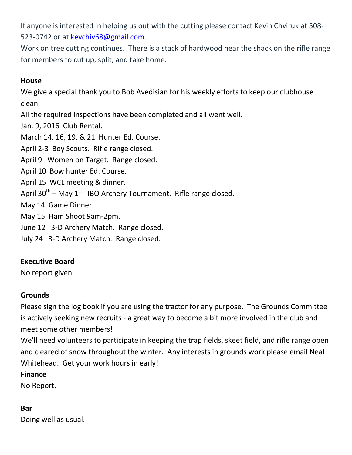If anyone is interested in helping us out with the cutting please contact Kevin Chviruk at 508- 523-0742 or at [kevchiv68@gmail.com.](mailto:kevchiv68@gmail.com)

Work on tree cutting continues. There is a stack of hardwood near the shack on the rifle range for members to cut up, split, and take home.

#### **House**

We give a special thank you to Bob Avedisian for his weekly efforts to keep our clubhouse clean.

All the required inspections have been completed and all went well.

Jan. 9, 2016 Club Rental.

March 14, 16, 19, & 21 Hunter Ed. Course.

April 2-3 Boy Scouts. Rifle range closed.

April 9 Women on Target. Range closed.

April 10 Bow hunter Ed. Course.

April 15 WCL meeting & dinner.

April 30<sup>th</sup> – May 1<sup>st</sup> IBO Archery Tournament. Rifle range closed.

May 14 Game Dinner.

May 15 Ham Shoot 9am-2pm.

June 12 3-D Archery Match. Range closed.

July 24 3-D Archery Match. Range closed.

## **Executive Board**

No report given.

## **Grounds**

Please sign the log book if you are using the tractor for any purpose. The Grounds Committee is actively seeking new recruits - a great way to become a bit more involved in the club and meet some other members!

We'll need volunteers to participate in keeping the trap fields, skeet field, and rifle range open and cleared of snow throughout the winter. Any interests in grounds work please email Neal Whitehead. Get your work hours in early!

#### **Finance**

No Report.

## **Bar**

Doing well as usual.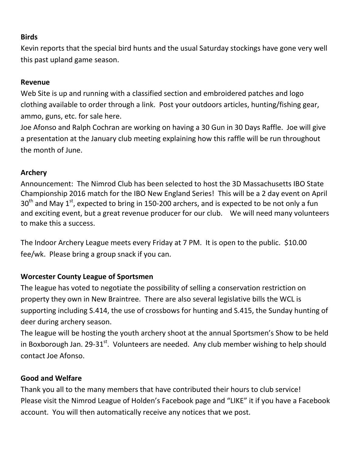## **Birds**

Kevin reports that the special bird hunts and the usual Saturday stockings have gone very well this past upland game season.

#### **Revenue**

Web Site is up and running with a classified section and embroidered patches and logo clothing available to order through a link. Post your outdoors articles, hunting/fishing gear, ammo, guns, etc. for sale here.

Joe Afonso and Ralph Cochran are working on having a 30 Gun in 30 Days Raffle. Joe will give a presentation at the January club meeting explaining how this raffle will be run throughout the month of June.

## **Archery**

Announcement: The Nimrod Club has been selected to host the 3D Massachusetts IBO State Championship 2016 match for the IBO New England Series! This will be a 2 day event on April  $30<sup>th</sup>$  and May 1<sup>st</sup>, expected to bring in 150-200 archers, and is expected to be not only a fun and exciting event, but a great revenue producer for our club. We will need many volunteers to make this a success.

The Indoor Archery League meets every Friday at 7 PM. It is open to the public. \$10.00 fee/wk. Please bring a group snack if you can.

# **Worcester County League of Sportsmen**

The league has voted to negotiate the possibility of selling a conservation restriction on property they own in New Braintree. There are also several legislative bills the WCL is supporting including S.414, the use of crossbows for hunting and S.415, the Sunday hunting of deer during archery season.

The league will be hosting the youth archery shoot at the annual Sportsmen's Show to be held in Boxborough Jan. 29-31 $^{\rm st}$ . Volunteers are needed. Any club member wishing to help should contact Joe Afonso.

# **Good and Welfare**

Thank you all to the many members that have contributed their hours to club service! Please visit the Nimrod League of Holden's Facebook page and "LIKE" it if you have a Facebook account. You will then automatically receive any notices that we post.